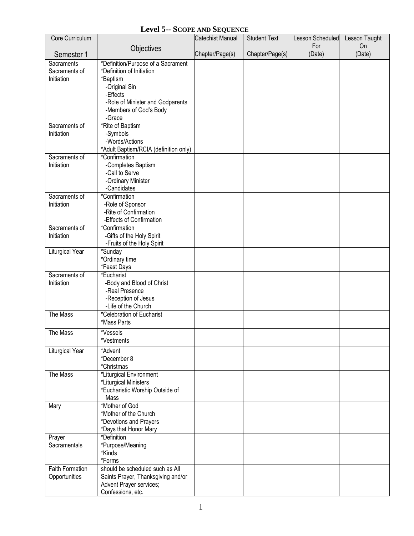## **Level 5-- SCOPE AND SEQUENCE**

| Core Curriculum             |                                                        | Catechist Manual | <b>Student Text</b> | Lesson Scheduled | Lesson Taught |
|-----------------------------|--------------------------------------------------------|------------------|---------------------|------------------|---------------|
|                             | Objectives                                             |                  |                     | For              | <b>On</b>     |
| Semester 1                  |                                                        | Chapter/Page(s)  | Chapter/Page(s)     | (Date)           | (Date)        |
| Sacraments                  | *Definition/Purpose of a Sacrament                     |                  |                     |                  |               |
| Sacraments of<br>Initiation | *Definition of Initiation<br>*Baptism                  |                  |                     |                  |               |
|                             | -Original Sin                                          |                  |                     |                  |               |
|                             | -Effects                                               |                  |                     |                  |               |
|                             | -Role of Minister and Godparents                       |                  |                     |                  |               |
|                             | -Members of God's Body                                 |                  |                     |                  |               |
|                             | -Grace                                                 |                  |                     |                  |               |
| Sacraments of               | *Rite of Baptism                                       |                  |                     |                  |               |
| Initiation                  | -Symbols                                               |                  |                     |                  |               |
|                             | -Words/Actions                                         |                  |                     |                  |               |
| Sacraments of               | *Adult Baptism/RCIA (definition only)<br>*Confirmation |                  |                     |                  |               |
| Initiation                  | -Completes Baptism                                     |                  |                     |                  |               |
|                             | -Call to Serve                                         |                  |                     |                  |               |
|                             | -Ordinary Minister                                     |                  |                     |                  |               |
|                             | -Candidates                                            |                  |                     |                  |               |
| Sacraments of               | *Confirmation                                          |                  |                     |                  |               |
| Initiation                  | -Role of Sponsor                                       |                  |                     |                  |               |
|                             | -Rite of Confirmation                                  |                  |                     |                  |               |
|                             | -Effects of Confirmation                               |                  |                     |                  |               |
| Sacraments of<br>Initiation | *Confirmation<br>-Gifts of the Holy Spirit             |                  |                     |                  |               |
|                             | -Fruits of the Holy Spirit                             |                  |                     |                  |               |
| Liturgical Year             | *Sunday                                                |                  |                     |                  |               |
|                             | *Ordinary time                                         |                  |                     |                  |               |
|                             | *Feast Days                                            |                  |                     |                  |               |
| Sacraments of               | *Eucharist                                             |                  |                     |                  |               |
| Initiation                  | -Body and Blood of Christ                              |                  |                     |                  |               |
|                             | -Real Presence                                         |                  |                     |                  |               |
|                             | -Reception of Jesus<br>-Life of the Church             |                  |                     |                  |               |
| The Mass                    | *Celebration of Eucharist                              |                  |                     |                  |               |
|                             | *Mass Parts                                            |                  |                     |                  |               |
| The Mass                    | *Vessels                                               |                  |                     |                  |               |
|                             | *Vestments                                             |                  |                     |                  |               |
| Liturgical Year             | *Advent                                                |                  |                     |                  |               |
|                             | *December 8                                            |                  |                     |                  |               |
|                             | *Christmas                                             |                  |                     |                  |               |
| The Mass                    | *Liturgical Environment                                |                  |                     |                  |               |
|                             | *Liturgical Ministers                                  |                  |                     |                  |               |
|                             | *Eucharistic Worship Outside of                        |                  |                     |                  |               |
|                             | Mass                                                   |                  |                     |                  |               |
| Mary                        | *Mother of God                                         |                  |                     |                  |               |
|                             | *Mother of the Church                                  |                  |                     |                  |               |
|                             | *Devotions and Prayers<br>*Days that Honor Mary        |                  |                     |                  |               |
| Prayer                      | *Definition                                            |                  |                     |                  |               |
| Sacramentals                | *Purpose/Meaning                                       |                  |                     |                  |               |
|                             | *Kinds                                                 |                  |                     |                  |               |
|                             | *Forms                                                 |                  |                     |                  |               |
| <b>Faith Formation</b>      | should be scheduled such as All                        |                  |                     |                  |               |
| Opportunities               | Saints Prayer, Thanksgiving and/or                     |                  |                     |                  |               |
|                             | Advent Prayer services;                                |                  |                     |                  |               |
|                             | Confessions, etc.                                      |                  |                     |                  |               |